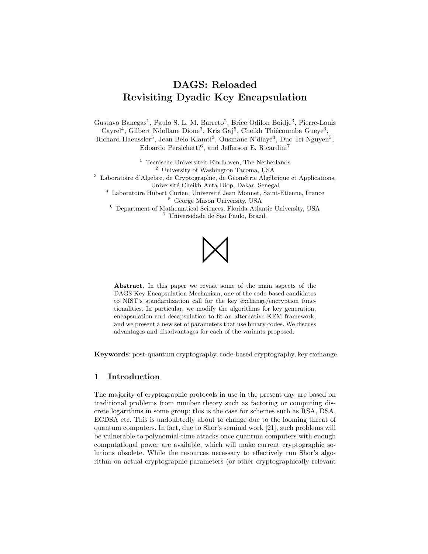# DAGS: Reloaded Revisiting Dyadic Key Encapsulation

Gustavo Banegas<sup>1</sup>, Paulo S. L. M. Barreto<sup>2</sup>, Brice Odilon Boidje<sup>3</sup>, Pierre-Louis Cayrel<sup>4</sup>, Gilbert Ndollane Dione<sup>3</sup>, Kris Gaj<sup>5</sup>, Cheikh Thiécoumba Gueye<sup>3</sup>, Richard Haeussler<sup>5</sup>, Jean Belo Klamti<sup>3</sup>, Ousmane N'diaye<sup>3</sup>, Duc Tri Nguyen<sup>5</sup>, Edoardo Persichetti<sup>6</sup>, and Jefferson E. Ricardini<sup>7</sup>

> <sup>1</sup> Tecnische Universiteit Eindhoven, The Netherlands <sup>2</sup> University of Washington Tacoma, USA

<sup>3</sup> Laboratoire d'Algebre, de Cryptographie, de Géométrie Algébrique et Applications, Universit´e Cheikh Anta Diop, Dakar, Senegal

<sup>4</sup> Laboratoire Hubert Curien, Université Jean Monnet, Saint-Etienne, France <sup>5</sup> George Mason University, USA

<sup>6</sup> Department of Mathematical Sciences, Florida Atlantic University, USA <sup>7</sup> Universidade de São Paulo, Brazil.



Abstract. In this paper we revisit some of the main aspects of the DAGS Key Encapsulation Mechanism, one of the code-based candidates to NIST's standardization call for the key exchange/encryption functionalities. In particular, we modify the algorithms for key generation, encapsulation and decapsulation to fit an alternative KEM framework, and we present a new set of parameters that use binary codes. We discuss advantages and disadvantages for each of the variants proposed.

Keywords: post-quantum cryptography, code-based cryptography, key exchange.

## 1 Introduction

The majority of cryptographic protocols in use in the present day are based on traditional problems from number theory such as factoring or computing discrete logarithms in some group; this is the case for schemes such as RSA, DSA, ECDSA etc. This is undoubtedly about to change due to the looming threat of quantum computers. In fact, due to Shor's seminal work [21], such problems will be vulnerable to polynomial-time attacks once quantum computers with enough computational power are available, which will make current cryptographic solutions obsolete. While the resources necessary to effectively run Shor's algorithm on actual cryptographic parameters (or other cryptographically relevant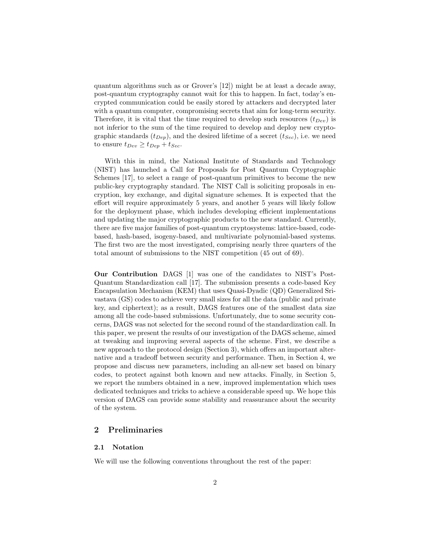quantum algorithms such as or Grover's [12]) might be at least a decade away, post-quantum cryptography cannot wait for this to happen. In fact, today's encrypted communication could be easily stored by attackers and decrypted later with a quantum computer, compromising secrets that aim for long-term security. Therefore, it is vital that the time required to develop such resources  $(t_{Dev})$  is not inferior to the sum of the time required to develop and deploy new cryptographic standards  $(t_{Dep})$ , and the desired lifetime of a secret  $(t_{Sec})$ , i.e. we need to ensure  $t_{Dev} \geq t_{Dep} + t_{Sec}.$ 

With this in mind, the National Institute of Standards and Technology (NIST) has launched a Call for Proposals for Post Quantum Cryptographic Schemes [17], to select a range of post-quantum primitives to become the new public-key cryptography standard. The NIST Call is soliciting proposals in encryption, key exchange, and digital signature schemes. It is expected that the effort will require approximately 5 years, and another 5 years will likely follow for the deployment phase, which includes developing efficient implementations and updating the major cryptographic products to the new standard. Currently, there are five major families of post-quantum cryptosystems: lattice-based, codebased, hash-based, isogeny-based, and multivariate polynomial-based systems. The first two are the most investigated, comprising nearly three quarters of the total amount of submissions to the NIST competition (45 out of 69).

Our Contribution DAGS [1] was one of the candidates to NIST's Post-Quantum Standardization call [17]. The submission presents a code-based Key Encapsulation Mechanism (KEM) that uses Quasi-Dyadic (QD) Generalized Srivastava (GS) codes to achieve very small sizes for all the data (public and private key, and ciphertext); as a result, DAGS features one of the smallest data size among all the code-based submissions. Unfortunately, due to some security concerns, DAGS was not selected for the second round of the standardization call. In this paper, we present the results of our investigation of the DAGS scheme, aimed at tweaking and improving several aspects of the scheme. First, we describe a new approach to the protocol design (Section 3), which offers an important alternative and a tradeoff between security and performance. Then, in Section 4, we propose and discuss new parameters, including an all-new set based on binary codes, to protect against both known and new attacks. Finally, in Section 5, we report the numbers obtained in a new, improved implementation which uses dedicated techniques and tricks to achieve a considerable speed up. We hope this version of DAGS can provide some stability and reassurance about the security of the system.

## 2 Preliminaries

## 2.1 Notation

We will use the following conventions throughout the rest of the paper: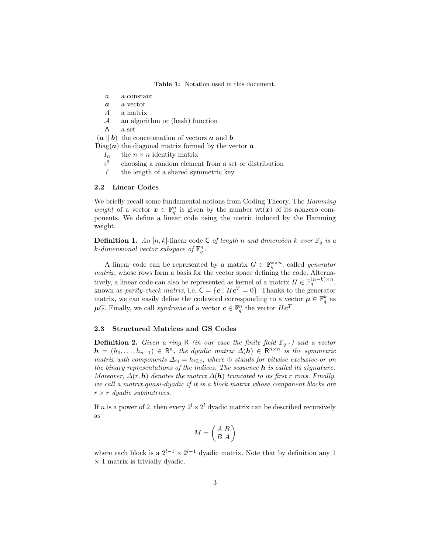Table 1: Notation used in this document.

- a a constant
- a a vector
- A a matrix
- $\mathcal A$  an algorithm or (hash) function
- A a set

 $(a \parallel b)$  the concatenation of vectors a and b

 $Diag(a)$  the diagonal matrix formed by the vector  $a$ 

- $I_n$  the  $n \times n$  identity matrix
- $\overset{\ast}{\leftarrow}$  choosing a random element from a set or distribution
- $\ell$  the length of a shared symmetric key

#### 2.2 Linear Codes

We briefly recall some fundamental notions from Coding Theory. The *Hamming* weight of a vector  $\boldsymbol{x} \in \mathbb{F}_q^n$  is given by the number  $\text{wt}(\boldsymbol{x})$  of its nonzero components. We define a linear code using the metric induced by the Hamming weight.

**Definition 1.** An [n, k]-linear code C of length n and dimension k over  $\mathbb{F}_q$  is a k-dimensional vector subspace of  $\mathbb{F}_q^n$ .

A linear code can be represented by a matrix  $G \in \mathbb{F}_q^{k \times n}$ , called *generator* matrix, whose rows form a basis for the vector space defining the code. Alternatively, a linear code can also be represented as kernel of a matrix  $H \in \mathbb{F}_q^{(n-k)\times n}$ , known as *parity-check matrix*, i.e.  $C = \{c : Hc^T = 0\}$ . Thanks to the generator matrix, we can easily define the codeword corresponding to a vector  $\mu \in \mathbb{F}_q^k$  as  $\mu$ G. Finally, we call *syndrome* of a vector  $c \in \mathbb{F}_q^n$  the vector  $Hc^T$ .

#### 2.3 Structured Matrices and GS Codes

**Definition 2.** Given a ring R (in our case the finite field  $\mathbb{F}_{q^m}$ ) and a vector  $h = (h_0, \ldots, h_{n-1}) \in \mathbb{R}^n$ , the dyadic matrix  $\Delta(h) \in \mathbb{R}^{n \times n}$  is the symmetric matrix with components  $\Delta_{ij} = h_{i \oplus j}$ , where  $\oplus$  stands for bitwise exclusive-or on the binary representations of the indices. The sequence  $h$  is called its signature. Moreover,  $\Delta(r, h)$  denotes the matrix  $\Delta(h)$  truncated to its first r rows. Finally, we call a matrix quasi-dyadic if it is a block matrix whose component blocks are  $r \times r$  dyadic submatrices.

If *n* is a power of 2, then every  $2^{l} \times 2^{l}$  dyadic matrix can be described recursively as

$$
M = \begin{pmatrix} A & B \\ B & A \end{pmatrix}
$$

where each block is a  $2^{l-1} \times 2^{l-1}$  dyadic matrix. Note that by definition any 1  $\times$  1 matrix is trivially dyadic.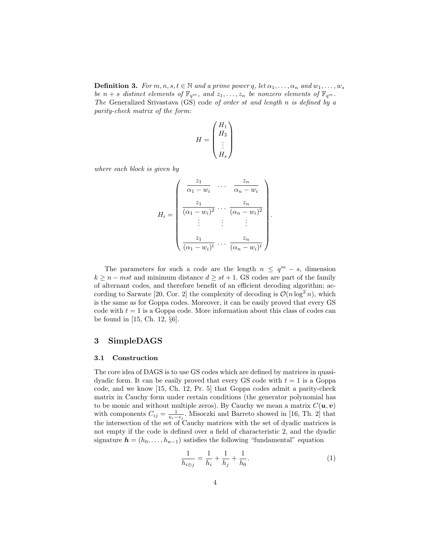**Definition 3.** For  $m, n, s, t \in \mathbb{N}$  and a prime power q, let  $\alpha_1, \ldots, \alpha_n$  and  $w_1, \ldots, w_s$ be  $n + s$  distinct elements of  $\mathbb{F}_{q^m}$ , and  $z_1, \ldots, z_n$  be nonzero elements of  $\mathbb{F}_{q^m}$ . The Generalized Srivastava (GS) code of order st and length n is defined by a parity-check matrix of the form:

$$
H = \begin{pmatrix} H_1 \\ H_2 \\ \vdots \\ H_s \end{pmatrix}
$$

where each block is given by

$$
H_i = \begin{pmatrix} \frac{z_1}{\alpha_1 - w_i} & \cdots & \frac{z_n}{\alpha_n - w_i} \\ \frac{z_1}{(\alpha_1 - w_i)^2} & \cdots & \frac{z_n}{(\alpha_n - w_i)^2} \\ \vdots & \vdots & \vdots \\ \frac{z_1}{(\alpha_1 - w_i)^t} & \cdots & \frac{z_n}{(\alpha_n - w_i)^t} \end{pmatrix}.
$$

The parameters for such a code are the length  $n \leq q^m - s$ , dimension  $k \geq n - mst$  and minimum distance  $d \geq st + 1$ . GS codes are part of the family of alternant codes, and therefore benefit of an efficient decoding algorithm; according to Sarwate [20, Cor. 2] the complexity of decoding is  $\mathcal{O}(n \log^2 n)$ , which is the same as for Goppa codes. Moreover, it can be easily proved that every GS code with  $t = 1$  is a Goppa code. More information about this class of codes can be found in [15, Ch. 12, §6].

## 3 SimpleDAGS

#### 3.1 Construction

The core idea of DAGS is to use GS codes which are defined by matrices in quasidyadic form. It can be easily proved that every GS code with  $t = 1$  is a Goppa code, and we know [15, Ch. 12, Pr. 5] that Goppa codes admit a parity-check matrix in Cauchy form under certain conditions (the generator polynomial has to be monic and without multiple zeros). By Cauchy we mean a matrix  $C(\boldsymbol{u}, \boldsymbol{v})$ with components  $C_{ij} = \frac{1}{u_i - v_j}$ . Misoczki and Barreto showed in [16, Th. 2] that the intersection of the set of Cauchy matrices with the set of dyadic matrices is not empty if the code is defined over a field of characteristic 2, and the dyadic signature  $h = (h_0, \ldots, h_{n-1})$  satisfies the following "fundamental" equation

$$
\frac{1}{h_{i\oplus j}} = \frac{1}{h_i} + \frac{1}{h_j} + \frac{1}{h_0}.\tag{1}
$$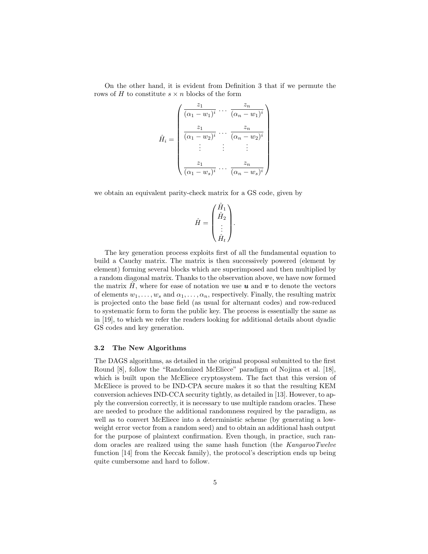On the other hand, it is evident from Definition 3 that if we permute the rows of H to constitute  $s \times n$  blocks of the form

$$
\hat{H}_i = \begin{pmatrix}\n\frac{z_1}{(\alpha_1 - w_1)^i} \cdots \frac{z_n}{(\alpha_n - w_1)^i} \\
\frac{z_1}{(\alpha_1 - w_2)^i} \cdots \frac{z_n}{(\alpha_n - w_2)^i} \\
\vdots \qquad \vdots \qquad \vdots \\
\frac{z_1}{(\alpha_1 - w_s)^i} \cdots \frac{z_n}{(\alpha_n - w_s)^i}\n\end{pmatrix}
$$

we obtain an equivalent parity-check matrix for a GS code, given by

$$
\hat{H} = \begin{pmatrix} \hat{H}_1 \\ \hat{H}_2 \\ \vdots \\ \hat{H}_t \end{pmatrix}.
$$

The key generation process exploits first of all the fundamental equation to build a Cauchy matrix. The matrix is then successively powered (element by element) forming several blocks which are superimposed and then multiplied by a random diagonal matrix. Thanks to the observation above, we have now formed the matrix  $H$ , where for ease of notation we use  $u$  and  $v$  to denote the vectors of elements  $w_1, \ldots, w_s$  and  $\alpha_1, \ldots, \alpha_n$ , respectively. Finally, the resulting matrix is projected onto the base field (as usual for alternant codes) and row-reduced to systematic form to form the public key. The process is essentially the same as in [19], to which we refer the readers looking for additional details about dyadic GS codes and key generation.

#### 3.2 The New Algorithms

The DAGS algorithms, as detailed in the original proposal submitted to the first Round [8], follow the "Randomized McEliece" paradigm of Nojima et al. [18], which is built upon the McEliece cryptosystem. The fact that this version of McEliece is proved to be IND-CPA secure makes it so that the resulting KEM conversion achieves IND-CCA security tightly, as detailed in [13]. However, to apply the conversion correctly, it is necessary to use multiple random oracles. These are needed to produce the additional randomness required by the paradigm, as well as to convert McEliece into a deterministic scheme (by generating a lowweight error vector from a random seed) and to obtain an additional hash output for the purpose of plaintext confirmation. Even though, in practice, such random oracles are realized using the same hash function (the KangarooTwelve function [14] from the Keccak family), the protocol's description ends up being quite cumbersome and hard to follow.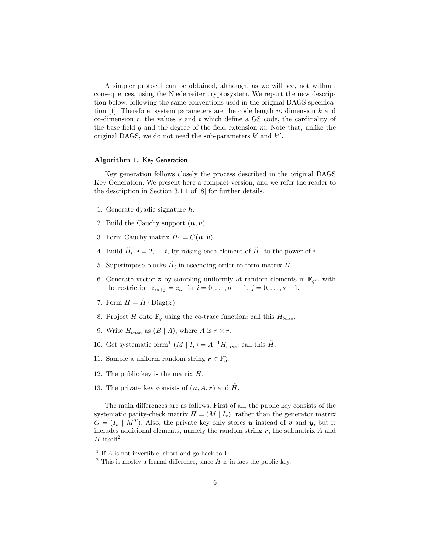A simpler protocol can be obtained, although, as we will see, not without consequences, using the Niederreiter cryptosystem. We report the new description below, following the same conventions used in the original DAGS specification [1]. Therefore, system parameters are the code length  $n$ , dimension  $k$  and co-dimension  $r$ , the values  $s$  and  $t$  which define a GS code, the cardinality of the base field  $q$  and the degree of the field extension  $m$ . Note that, unlike the original DAGS, we do not need the sub-parameters  $k'$  and  $k''$ .

#### Algorithm 1. Key Generation

Key generation follows closely the process described in the original DAGS Key Generation. We present here a compact version, and we refer the reader to the description in Section 3.1.1 of [8] for further details.

- 1. Generate dyadic signature  $h$ .
- 2. Build the Cauchy support  $(u, v)$ .
- 3. Form Cauchy matrix  $\hat{H}_1 = C(\boldsymbol{u}, \boldsymbol{v})$ .
- 4. Build  $\hat{H}_i$ ,  $i = 2, \ldots t$ , by raising each element of  $\hat{H}_1$  to the power of i.
- 5. Superimpose blocks  $\hat{H}_i$  in ascending order to form matrix  $\hat{H}$ .
- 6. Generate vector z by sampling uniformly at random elements in  $\mathbb{F}_{q^m}$  with the restriction  $z_{is+j} = z_{is}$  for  $i = 0, ..., n_0 - 1, j = 0, ..., s - 1$ .
- 7. Form  $H = \hat{H} \cdot \text{Diag}(z)$ .
- 8. Project H onto  $\mathbb{F}_q$  using the co-trace function: call this  $H_{base}$ .
- 9. Write  $H_{base}$  as  $(B | A)$ , where A is  $r \times r$ .
- 10. Get systematic form<sup>1</sup>  $(M | I_r) = A^{-1} H_{base}$ : call this  $\tilde{H}$ .
- 11. Sample a uniform random string  $r \in \mathbb{F}_q^n$ .
- 12. The public key is the matrix  $H$ .
- 13. The private key consists of  $(u, A, r)$  and  $\tilde{H}$ .

The main differences are as follows. First of all, the public key consists of the systematic parity-check matrix  $H = (M | I_r)$ , rather than the generator matrix  $G = (I_k \mid M^T)$ . Also, the private key only stores **u** instead of **v** and **y**, but it includes additional elements, namely the random string  $r$ , the submatrix  $A$  and  $\tilde{H}$  itself<sup>2</sup>.

<sup>&</sup>lt;sup>1</sup> If  $A$  is not invertible, abort and go back to 1.

<sup>&</sup>lt;sup>2</sup> This is mostly a formal difference, since  $\tilde{H}$  is in fact the public key.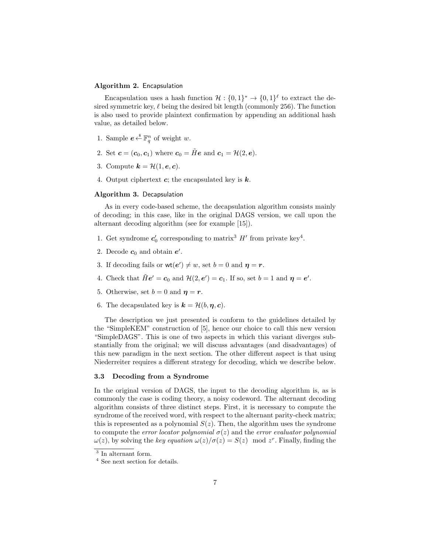#### Algorithm 2. Encapsulation

Encapsulation uses a hash function  $\mathcal{H}: \{0,1\}^* \to \{0,1\}^{\ell}$  to extract the desired symmetric key,  $\ell$  being the desired bit length (commonly 256). The function is also used to provide plaintext confirmation by appending an additional hash value, as detailed below.

- 1. Sample  $e \stackrel{\$}{\leftarrow} \mathbb{F}_q^n$  of weight w.
- 2. Set  $\mathbf{c} = (\mathbf{c}_0, \mathbf{c}_1)$  where  $\mathbf{c}_0 = \tilde{H} \mathbf{e}$  and  $\mathbf{c}_1 = \mathcal{H}(2, \mathbf{e})$ .
- 3. Compute  $\mathbf{k} = \mathcal{H}(1, \mathbf{e}, \mathbf{c})$ .
- 4. Output ciphertext  $c$ ; the encapsulated key is  $k$ .

## Algorithm 3. Decapsulation

As in every code-based scheme, the decapsulation algorithm consists mainly of decoding; in this case, like in the original DAGS version, we call upon the alternant decoding algorithm (see for example [15]).

- 1. Get syndrome  $c'_0$  corresponding to matrix<sup>3</sup> H' from private key<sup>4</sup>.
- 2. Decode  $c_0$  and obtain  $e'$ .
- 3. If decoding fails or  $wt(e') \neq w$ , set  $b = 0$  and  $\eta = r$ .
- 4. Check that  $\tilde{H}e' = c_0$  and  $\mathcal{H}(2, e') = c_1$ . If so, set  $b = 1$  and  $\eta = e'$ .
- 5. Otherwise, set  $b = 0$  and  $\eta = r$ .
- 6. The decapsulated key is  $\mathbf{k} = \mathcal{H}(b, \eta, c)$ .

The description we just presented is conform to the guidelines detailed by the "SimpleKEM" construction of [5], hence our choice to call this new version "SimpleDAGS". This is one of two aspects in which this variant diverges substantially from the original; we will discuss advantages (and disadvantages) of this new paradigm in the next section. The other different aspect is that using Niederreiter requires a different strategy for decoding, which we describe below.

## 3.3 Decoding from a Syndrome

In the original version of DAGS, the input to the decoding algorithm is, as is commonly the case is coding theory, a noisy codeword. The alternant decoding algorithm consists of three distinct steps. First, it is necessary to compute the syndrome of the received word, with respect to the alternant parity-check matrix; this is represented as a polynomial  $S(z)$ . Then, the algorithm uses the syndrome to compute the error locator polynomial  $\sigma(z)$  and the error evaluator polynomial  $\omega(z)$ , by solving the key equation  $\omega(z)/\sigma(z) = S(z) \mod z^r$ . Finally, finding the

<sup>3</sup> In alternant form.

<sup>4</sup> See next section for details.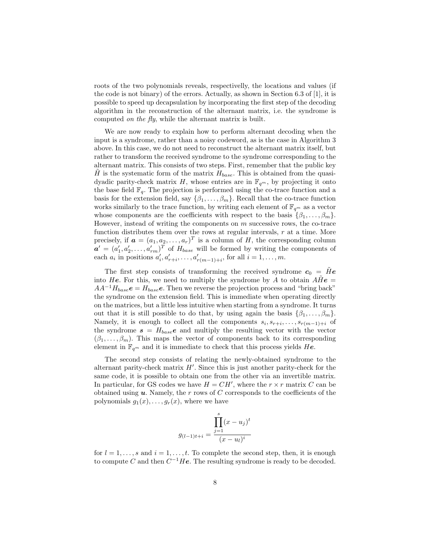roots of the two polynomials reveals, respectivelly, the locations and values (if the code is not binary) of the errors. Actually, as shown in Section 6.3 of [1], it is possible to speed up decapsulation by incorporating the first step of the decoding algorithm in the reconstruction of the alternant matrix, i.e. the syndrome is computed on the fly, while the alternant matrix is built.

We are now ready to explain how to perform alternant decoding when the input is a syndrome, rather than a noisy codeword, as is the case in Algorithm 3 above. In this case, we do not need to reconstruct the alternant matrix itself, but rather to transform the received syndrome to the syndrome corresponding to the alternant matrix. This consists of two steps. First, remember that the public key H is the systematic form of the matrix  $H_{base}$ . This is obtained from the quasidyadic parity-check matrix H, whose entries are in  $\mathbb{F}_{q^m}$ , by projecting it onto the base field  $\mathbb{F}_q$ . The projection is performed using the co-trace function and a basis for the extension field, say  $\{\beta_1, \ldots, \beta_m\}$ . Recall that the co-trace function works similarly to the trace function, by writing each element of  $\mathbb{F}_{q^m}$  as a vector whose components are the coefficients with respect to the basis  $\{\beta_1, \ldots, \beta_m\}.$ However, instead of writing the components on  $m$  successive rows, the co-trace function distributes them over the rows at regular intervals,  $r$  at a time. More precisely, if  $\mathbf{a} = (a_1, a_2, \dots, a_r)^T$  is a column of H, the corresponding column  $a' = (a'_1, a'_2, \dots, a'_{rm})^T$  of  $H_{base}$  will be formed by writing the components of each  $a_i$  in positions  $a'_i, a'_{r+i}, \ldots, a'_{r(m-1)+i}$ , for all  $i = 1, \ldots, m$ .

The first step consists of transforming the received syndrome  $c_0 = \tilde{H}e$ into He. For this, we need to multiply the syndrome by A to obtain  $AHe =$  $AA^{-1}H_{base}e = H_{base}e$ . Then we reverse the projection process and "bring back" the syndrome on the extension field. This is immediate when operating directly on the matrices, but a little less intuitive when starting from a syndrome. It turns out that it is still possible to do that, by using again the basis  $\{\beta_1, \ldots, \beta_m\}$ . Namely, it is enough to collect all the components  $s_i, s_{r+i}, \ldots, s_{r(m-1)+i}$  of the syndrome  $s = H_{base}e$  and multiply the resulting vector with the vector  $(\beta_1, \ldots, \beta_m)$ . This maps the vector of components back to its corresponding element in  $\mathbb{F}_{q^m}$  and it is immediate to check that this process yields He.

The second step consists of relating the newly-obtained syndrome to the alternant parity-check matrix  $H'$ . Since this is just another parity-check for the same code, it is possible to obtain one from the other via an invertible matrix. In particular, for GS codes we have  $H = CH'$ , where the  $r \times r$  matrix C can be obtained using  $u$ . Namely, the r rows of C corresponds to the coefficients of the polynomials  $g_1(x), \ldots, g_r(x)$ , where we have

$$
g_{(l-1)t+i} = \frac{\prod_{j=1}^{s} (x - u_j)^t}{(x - u_l)^i}
$$

for  $l = 1, \ldots, s$  and  $i = 1, \ldots, t$ . To complete the second step, then, it is enough to compute C and then  $C^{-1}He$ . The resulting syndrome is ready to be decoded.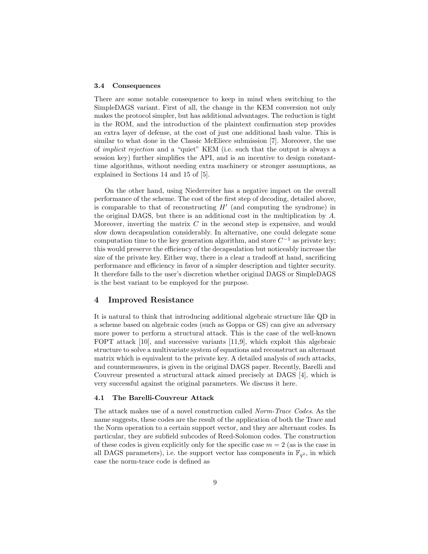#### 3.4 Consequences

There are some notable consequence to keep in mind when switching to the SimpleDAGS variant. First of all, the change in the KEM conversion not only makes the protocol simpler, but has additional advantages. The reduction is tight in the ROM, and the introduction of the plaintext confirmation step provides an extra layer of defense, at the cost of just one additional hash value. This is similar to what done in the Classic McEliece submission [7]. Moreover, the use of implicit rejection and a "quiet" KEM (i.e. such that the output is always a session key) further simplifies the API, and is an incentive to design constanttime algorithms, without needing extra machinery or stronger assumptions, as explained in Sections 14 and 15 of [5].

On the other hand, using Niederreiter has a negative impact on the overall performance of the scheme. The cost of the first step of decoding, detailed above, is comparable to that of reconstructing  $H'$  (and computing the syndrome) in the original DAGS, but there is an additional cost in the multiplication by A. Moreover, inverting the matrix  $C$  in the second step is expensive, and would slow down decapsulation considerably. In alternative, one could delegate some computation time to the key generation algorithm, and store  $C^{-1}$  as private key; this would preserve the efficiency of the decapsulation but noticeably increase the size of the private key. Either way, there is a clear a tradeoff at hand, sacrificing performance and efficiency in favor of a simpler description and tighter security. It therefore falls to the user's discretion whether original DAGS or SimpleDAGS is the best variant to be employed for the purpose.

## 4 Improved Resistance

It is natural to think that introducing additional algebraic structure like QD in a scheme based on algebraic codes (such as Goppa or GS) can give an adversary more power to perform a structural attack. This is the case of the well-known FOPT attack [10], and successive variants [11,9], which exploit this algebraic structure to solve a multivariate system of equations and reconstruct an alternant matrix which is equivalent to the private key. A detailed analysis of such attacks, and countermeasures, is given in the original DAGS paper. Recently, Barelli and Couvreur presented a structural attack aimed precisely at DAGS [4], which is very successful against the original parameters. We discuss it here.

#### 4.1 The Barelli-Couvreur Attack

The attack makes use of a novel construction called Norm-Trace Codes. As the name suggests, these codes are the result of the application of both the Trace and the Norm operation to a certain support vector, and they are alternant codes. In particular, they are subfield subcodes of Reed-Solomon codes. The construction of these codes is given explicitly only for the specific case  $m = 2$  (as is the case in all DAGS parameters), i.e. the support vector has components in  $\mathbb{F}_{q^2}$ , in which case the norm-trace code is defined as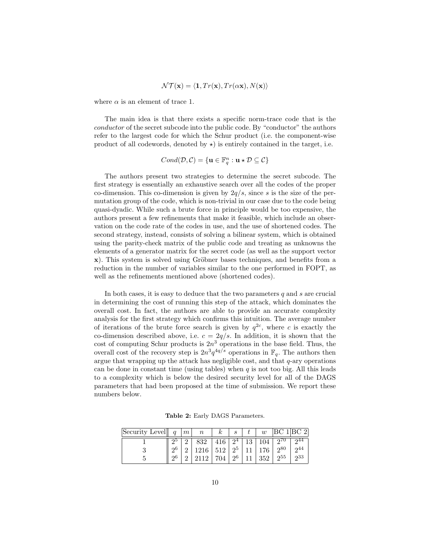$$
\mathcal{NT}(\mathbf{x}) = \langle \mathbf{1}, Tr(\mathbf{x}), Tr(\alpha \mathbf{x}), N(\mathbf{x}) \rangle
$$

where  $\alpha$  is an element of trace 1.

The main idea is that there exists a specific norm-trace code that is the conductor of the secret subcode into the public code. By "conductor" the authors refer to the largest code for which the Schur product (i.e. the component-wise product of all codewords, denoted by  $\star$ ) is entirely contained in the target, i.e.

$$
Cond(\mathcal{D},\mathcal{C}) = {\mathbf{u} \in \mathbb{F}_q^n : \mathbf{u} \star \mathcal{D} \subseteq \mathcal{C}}
$$

The authors present two strategies to determine the secret subcode. The first strategy is essentially an exhaustive search over all the codes of the proper co-dimension. This co-dimension is given by  $2q/s$ , since s is the size of the permutation group of the code, which is non-trivial in our case due to the code being quasi-dyadic. While such a brute force in principle would be too expensive, the authors present a few refinements that make it feasible, which include an observation on the code rate of the codes in use, and the use of shortened codes. The second strategy, instead, consists of solving a bilinear system, which is obtained using the parity-check matrix of the public code and treating as unknowns the elements of a generator matrix for the secret code (as well as the support vector x). This system is solved using Gröbner bases techniques, and benefits from a reduction in the number of variables similar to the one performed in FOPT, as well as the refinements mentioned above (shortened codes).

In both cases, it is easy to deduce that the two parameters  $q$  and  $s$  are crucial in determining the cost of running this step of the attack, which dominates the overall cost. In fact, the authors are able to provide an accurate complexity analysis for the first strategy which confirms this intuition. The average number of iterations of the brute force search is given by  $q^{2c}$ , where c is exactly the co-dimension described above, i.e.  $c = 2q/s$ . In addition, it is shown that the cost of computing Schur products is  $2n<sup>3</sup>$  operations in the base field. Thus, the overall cost of the recovery step is  $2n^3q^{4q/s}$  operations in  $\mathbb{F}_q$ . The authors then argue that wrapping up the attack has negligible cost, and that  $q$ -ary operations can be done in constant time (using tables) when  $q$  is not too big. All this leads to a complexity which is below the desired security level for all of the DAGS parameters that had been proposed at the time of submission. We report these numbers below.

Table 2: Early DAGS Parameters.

| Security Level | $\mathfrak{a}$ | m | $\boldsymbol{n}$ | $\kappa$ | S        |    | $\boldsymbol{w}$ |          | $\overline{2}$ |
|----------------|----------------|---|------------------|----------|----------|----|------------------|----------|----------------|
|                |                |   |                  |          | . പാ     | 13 | 104              | 200      |                |
|                | ი6             |   | .216             | 512      | 25       |    |                  | 280      |                |
|                | - 06           | ົ |                  |          | $\Omega$ |    | 352              | $2^{55}$ | ე33            |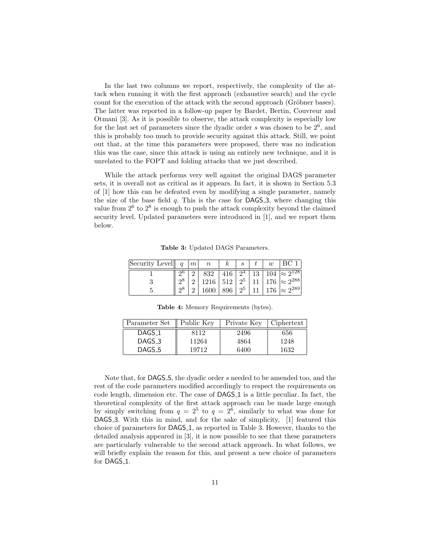In the last two columns we report, respectively, the complexity of the attack when running it with the first approach (exhaustive search) and the cycle count for the execution of the attack with the second approach (Gröbner bases). The latter was reported in a follow-up paper by Bardet, Bertin, Couvreur and Otmani [3]. As it is possible to observe, the attack complexity is especially low for the last set of parameters since the dyadic order  $s$  was chosen to be  $2<sup>6</sup>$ , and this is probably too much to provide security against this attack. Still, we point out that, at the time this parameters were proposed, there was no indication this was the case, since this attack is using an entirely new technique, and it is unrelated to the FOPT and folding attacks that we just described.

While the attack performs very well against the original DAGS parameter sets, it is overall not as critical as it appears. In fact, it is shown in Section 5.3 of [1] how this can be defeated even by modifying a single parameter, namely the size of the base field  $q$ . This is the case for **DAGS** 3, where changing this value from  $2^6$  to  $2^8$  is enough to push the attack complexity beyond the claimed security level. Updated parameters were introduced in [1], and we report them below.

Table 3: Updated DAGS Parameters.

| Security Level | $\alpha$ | $\lfloor m \rfloor$ | $\boldsymbol{n}$ | κ   | S        |    | $\boldsymbol{w}$ |                       |
|----------------|----------|---------------------|------------------|-----|----------|----|------------------|-----------------------|
|                |          |                     | 832              | 416 | $2^4$    | 13 |                  | $104 \approx 2^{128}$ |
|                | $\Omega$ |                     | 1216             | 512 | $2^5$    |    |                  | $176 \approx 2^{288}$ |
|                | $\Omega$ |                     | 1600             | 896 | ່າ $5$ ່ |    |                  | $176 \approx 2^{289}$ |

Table 4: Memory Requirements (bytes).

| Parameter Set      | $\parallel$ Public Key | Private Key | Ciphertext |
|--------------------|------------------------|-------------|------------|
| DAGS <sub>-1</sub> | 21 I 9                 | 2496        | 656        |
| DAGS_3             | 11264                  | 4864        | 1248       |
| DAGS_5             | 19712                  | 6400        | 1632       |

Note that, for DAGS\_5, the dyadic order s needed to be amended too, and the rest of the code parameters modified accordingly to respect the requirements on code length, dimension etc. The case of DAGS 1 is a little peculiar. In fact, the theoretical complexity of the first attack approach can be made large enough by simply switching from  $q = 2^5$  to  $q = 2^6$ , similarly to what was done for DAGS 3. With this in mind, and for the sake of simplicity, [1] featured this choice of parameters for DAGS 1, as reported in Table 3. However, thanks to the detailed analysis appeared in [3], it is now possible to see that these parameters are particularly vulnerable to the second attack approach. In what follows, we will briefly explain the reason for this, and present a new choice of parameters for DAGS<sub>-1</sub>.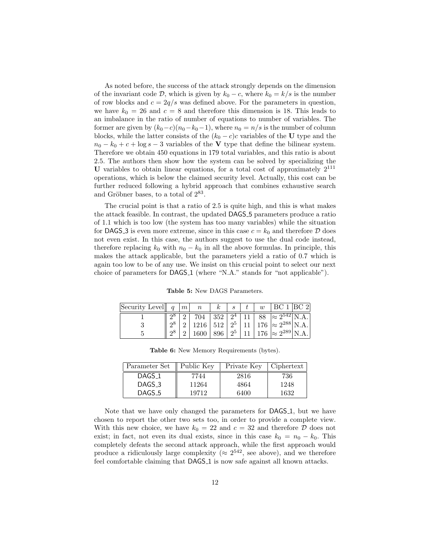As noted before, the success of the attack strongly depends on the dimension of the invariant code  $\mathcal{D}$ , which is given by  $k_0 - c$ , where  $k_0 = k/s$  is the number of row blocks and  $c = 2q/s$  was defined above. For the parameters in question, we have  $k_0 = 26$  and  $c = 8$  and therefore this dimension is 18. This leads to an imbalance in the ratio of number of equations to number of variables. The former are given by  $(k_0-c)(n_0-k_0-1)$ , where  $n_0 = n/s$  is the number of column blocks, while the latter consists of the  $(k_0 - c)c$  variables of the U type and the  $n_0 - k_0 + c + \log s - 3$  variables of the V type that define the bilinear system. Therefore we obtain 450 equations in 179 total variables, and this ratio is about 2.5. The authors then show how the system can be solved by specializing the U variables to obtain linear equations, for a total cost of approximately  $2^{111}$ operations, which is below the claimed security level. Actually, this cost can be further reduced following a hybrid approach that combines exhaustive search and Gröbner bases, to a total of  $2^{83}$ .

The crucial point is that a ratio of 2.5 is quite high, and this is what makes the attack feasible. In contrast, the updated DAGS<sub>-5</sub> parameters produce a ratio of 1.1 which is too low (the system has too many variables) while the situation for DAGS\_3 is even more extreme, since in this case  $c = k_0$  and therefore D does not even exist. In this case, the authors suggest to use the dual code instead, therefore replacing  $k_0$  with  $n_0 - k_0$  in all the above formulas. In principle, this makes the attack applicable, but the parameters yield a ratio of 0.7 which is again too low to be of any use. We insist on this crucial point to select our next choice of parameters for DAGS 1 (where "N.A." stands for "not applicable").

Table 5: New DAGS Parameters.

| Security Level | $\overline{a}$ | $+m^{\perp}$ | $\boldsymbol{n}$ |                 | S     | w |                            |  |
|----------------|----------------|--------------|------------------|-----------------|-------|---|----------------------------|--|
|                |                |              | 704              | $\mid 352 \mid$ | $2^4$ |   | 88 $\approx 2^{542}$ N.A.  |  |
|                |                |              | $1216 \mid 512$  |                 | $2^5$ |   | $176 \approx 2^{288}$ N.A. |  |
|                |                |              | 1600             | 896             | റ5    |   | $176 \approx 2^{289}$ N.A. |  |

| Parameter Set      | Public Kev | Private Key | <b>Ciphertext</b> |
|--------------------|------------|-------------|-------------------|
| DAGS <sub>-1</sub> | 7744       | 2816        | 736               |
| DAGS_3             | 11264      | 4864        | 1248              |
| DAGS_5             | 19712      | 6400        | 1632              |

Table 6: New Memory Requirements (bytes).

Note that we have only changed the parameters for DAGS 1, but we have chosen to report the other two sets too, in order to provide a complete view. With this new choice, we have  $k_0 = 22$  and  $c = 32$  and therefore  $D$  does not exist; in fact, not even its dual exists, since in this case  $k_0 = n_0 - k_0$ . This completely defeats the second attack approach, while the first approach would produce a ridiculously large complexity ( $\approx 2^{542}$ , see above), and we therefore feel comfortable claiming that DAGS 1 is now safe against all known attacks.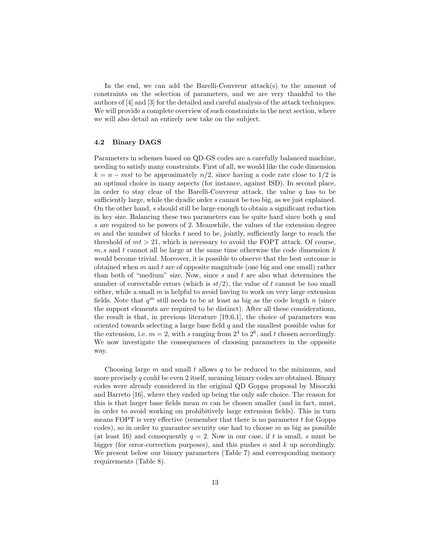In the end, we can add the Barelli-Couvreur attack(s) to the amount of constraints on the selection of parameters, and we are very thankful to the authors of [4] and [3] for the detailed and careful analysis of the attack techniques. We will provide a complete overview of such constraints in the next section, where we will also detail an entirely new take on the subject.

## 4.2 Binary DAGS

Parameters in schemes based on QD-GS codes are a carefully balanced machine, needing to satisfy many constraints. First of all, we would like the code dimension  $k = n - mst$  to be approximately  $n/2$ , since having a code rate close to  $1/2$  is an optimal choice in many aspects (for instance, against ISD). In second place, in order to stay clear of the Barelli-Couvreur attack, the value  $q$  has to be sufficiently large, while the dyadic order s cannot be too big, as we just explained. On the other hand, s should still be large enough to obtain a significant reduction in key size. Balancing these two parameters can be quite hard since both  $q$  and s are required to be powers of 2. Meanwhile, the values of the extension degree  $m$  and the number of blocks  $t$  need to be, jointly, sufficiently large to reach the threshold of  $mt > 21$ , which is necessary to avoid the FOPT attack. Of course,  $m, s$  and t cannot all be large at the same time otherwise the code dimension k would become trivial. Moreover, it is possible to observe that the best outcome is obtained when  $m$  and  $t$  are of opposite magnitude (one big and one small) rather than both of "medium" size. Now, since s and t are also what determines the number of correctable errors (which is  $st/2$ ), the value of t cannot be too small either, while a small  $m$  is helpful to avoid having to work on very large extension fields. Note that  $q^m$  still needs to be at least as big as the code length n (since the support elements are required to be distinct). After all these considerations, the result is that, in previous literature [19,6,1], the choice of parameters was oriented towards selecting a large base field  $q$  and the smallest possible value for the extension, i.e.  $m = 2$ , with s ranging from  $2<sup>4</sup>$  to  $2<sup>6</sup>$ , and t chosen accordingly. We now investigate the consequences of choosing parameters in the opposite way.

Choosing large  $m$  and small  $t$  allows  $q$  to be reduced to the minimum, and more precisely  $q$  could be even 2 itself, meaning binary codes are obtained. Binary codes were already considered in the original QD Goppa proposal by Misoczki and Barreto [16], where they ended up being the only safe choice. The reason for this is that larger base fields mean  $m$  can be chosen smaller (and in fact, must, in order to avoid working on prohibitively large extension fields). This in turn means FOPT is very effective (remember that there is no parameter  $t$  for Goppa codes), so in order to guarantee security one had to choose  $m$  as big as possible (at least 16) and consequently  $q = 2$ . Now in our case, if t is small, s must be bigger (for error-correction purposes), and this pushes n and k up accordingly. We present below our binary parameters (Table 7) and corresponding memory requirements (Table 8).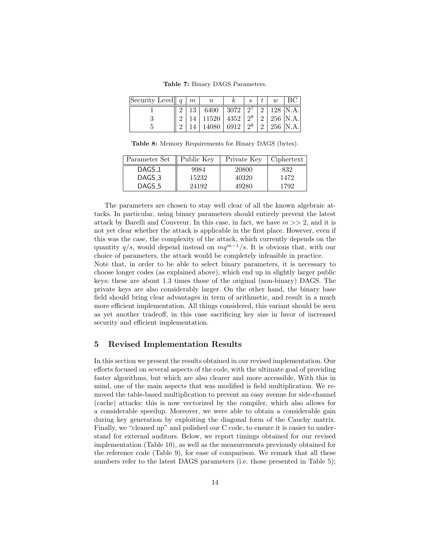Table 7: Binary DAGS Parameters.

| Security Level $q \mid m$ |  |                      |      | S     |                | w              |            |
|---------------------------|--|----------------------|------|-------|----------------|----------------|------------|
|                           |  | 6400   3072   $2^7$  |      |       |                | 2   128   N.A. |            |
|                           |  | 11520   4352   $2^8$ |      |       |                | 2 256 N.A.     |            |
|                           |  | 14080                | 6912 | $2^8$ | $\overline{2}$ |                | 256   N.A. |

Table 8: Memory Requirements for Binary DAGS (bytes).

| Parameter Set      | Public Key | Private Key | Ciphertext |
|--------------------|------------|-------------|------------|
| DAGS <sub>-1</sub> | 9984       | 20800       | 832        |
| DAGS <sub>-3</sub> | 15232      | 40320       | 1472       |
| DAGS <sub>-5</sub> | 24192      | 49280       | 1792       |

The parameters are chosen to stay well clear of all the known algebraic attacks. In particular, using binary parameters should entirely prevent the latest attack by Barelli and Couvreur. In this case, in fact, we have  $m \gg 2$ , and it is not yet clear whether the attack is applicable in the first place. However, even if this was the case, the complexity of the attack, which currently depends on the quantity  $q/s$ , would depend instead on  $mq^{m-1}/s$ . It is obvious that, with our choice of parameters, the attack would be completely infeasible in practice.

Note that, in order to be able to select binary parameters, it is necessary to choose longer codes (as explained above), which end up in slightly larger public keys: these are about 1.3 times those of the original (non-binary) DAGS. The private keys are also considerably larger. On the other hand, the binary base field should bring clear advantages in term of arithmetic, and result in a much more efficient implementation. All things considered, this variant should be seen as yet another tradeoff, in this case sacrificing key size in favor of increased security and efficient implementation.

## 5 Revised Implementation Results

In this section we present the results obtained in our revised implementation. Our efforts focused on several aspects of the code, with the ultimate goal of providing faster algorithms, but which are also clearer and more accessible. With this in mind, one of the main aspects that was modified is field multiplication. We removed the table-based multiplication to prevent an easy avenue for side-channel (cache) attacks: this is now vectorized by the compiler, which also allows for a considerable speedup. Moreover, we were able to obtain a considerable gain during key generation by exploiting the diagonal form of the Cauchy matrix. Finally, we "cleaned up" and polished our C code, to ensure it is easier to understand for external auditors. Below, we report timings obtained for our revised implementation (Table 10), as well as the measurements previously obtained for the reference code (Table 9), for ease of comparison. We remark that all these numbers refer to the latest DAGS parameters (i.e. those presented in Table 5);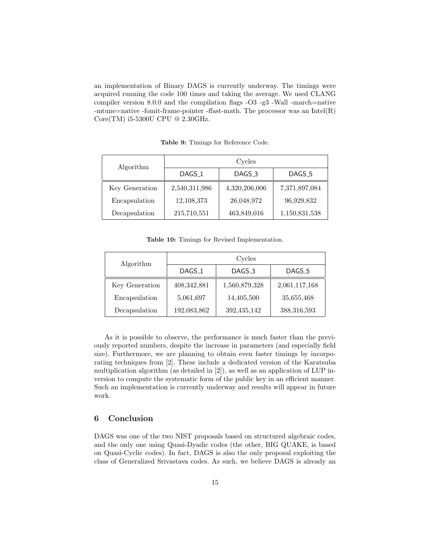an implementation of Binary DAGS is currently underway. The timings were acquired running the code 100 times and taking the average. We used CLANG compiler version 8.0.0 and the compilation flags -O3 -g3 -Wall -march=native -mtune=native -fomit-frame-pointer -ffast-math. The processor was an Intel(R) Core(TM) i5-5300U CPU @ 2.30GHz.

Table 9: Timings for Reference Code.

| Algorithm      | Cycles             |               |               |  |  |  |  |
|----------------|--------------------|---------------|---------------|--|--|--|--|
|                | DAGS <sub>-1</sub> | DAGS_3        | DAGS_5        |  |  |  |  |
| Key Generation | 2,540,311,986      | 4,320,206,006 | 7,371,897,084 |  |  |  |  |
| Encapsulation  | 12,108,373         | 26,048,972    | 96,929,832    |  |  |  |  |
| Decapsulation  | 215,710,551        | 463,849,016   | 1,150,831,538 |  |  |  |  |

Table 10: Timings for Revised Implementation.

| Algorithm      | Cycles             |                    |               |  |  |  |  |
|----------------|--------------------|--------------------|---------------|--|--|--|--|
|                | DAGS <sub>-1</sub> | DAGS <sub>-3</sub> | DAGS_5        |  |  |  |  |
| Key Generation | 408,342,881        | 1,560,879,328      | 2,061,117,168 |  |  |  |  |
| Encapsulation  | 5,061,697          | 14,405,500         | 35,655,468    |  |  |  |  |
| Decapsulation  | 192,083,862        | 392, 435, 142      | 388,316,593   |  |  |  |  |

As it is possible to observe, the performance is much faster than the previously reported numbers, despite the increase in parameters (and especially field size). Furthermore, we are planning to obtain even faster timings by incorporating techniques from [2]. These include a dedicated version of the Karatsuba multiplication algorithm (as detailed in [2]), as well as an application of LUP inversion to compute the systematic form of the public key in an efficient manner. Such an implementation is currently underway and results will appear in future work.

# 6 Conclusion

DAGS was one of the two NIST proposals based on structured algebraic codes, and the only one using Quasi-Dyadic codes (the other, BIG QUAKE, is based on Quasi-Cyclic codes). In fact, DAGS is also the only proposal exploiting the class of Generalized Srivastava codes. As such, we believe DAGS is already an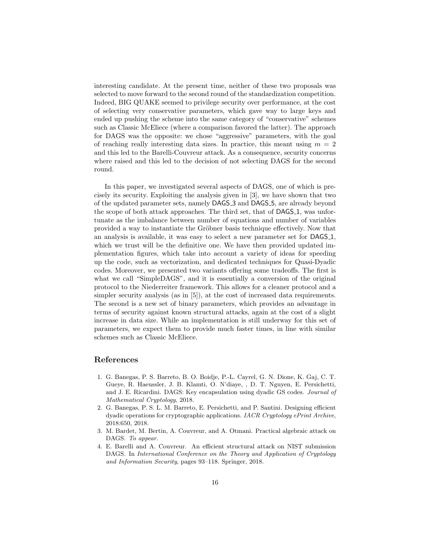interesting candidate. At the present time, neither of these two proposals was selected to move forward to the second round of the standardization competition. Indeed, BIG QUAKE seemed to privilege security over performance, at the cost of selecting very conservative parameters, which gave way to large keys and ended up pushing the scheme into the same category of "conservative" schemes such as Classic McEliece (where a comparison favored the latter). The approach for DAGS was the opposite: we chose "aggressive" parameters, with the goal of reaching really interesting data sizes. In practice, this meant using  $m = 2$ and this led to the Barelli-Couvreur attack. As a consequence, security concerns where raised and this led to the decision of not selecting DAGS for the second round.

In this paper, we investigated several aspects of DAGS, one of which is precisely its security. Exploiting the analysis given in [3], we have shown that two of the updated parameter sets, namely DAGS 3 and DAGS 5, are already beyond the scope of both attack approaches. The third set, that of DAGS<sub>-1</sub>, was unfortunate as the imbalance between number of equations and number of variables provided a way to instantiate the Gröbner basis technique effectively. Now that an analysis is available, it was easy to select a new parameter set for DAGS 1, which we trust will be the definitive one. We have then provided updated implementation figures, which take into account a variety of ideas for speeding up the code, such as vectorization, and dedicated techniques for Quasi-Dyadic codes. Moreover, we presented two variants offering some tradeoffs. The first is what we call "SimpleDAGS", and it is essentially a conversion of the original protocol to the Niederreiter framework. This allows for a cleaner protocol and a simpler security analysis (as in [5]), at the cost of increased data requirements. The second is a new set of binary parameters, which provides an advantage in terms of security against known structural attacks, again at the cost of a slight increase in data size. While an implementation is still underway for this set of parameters, we expect them to provide much faster times, in line with similar schemes such as Classic McEliece.

## References

- 1. G. Banegas, P. S. Barreto, B. O. Boidje, P.-L. Cayrel, G. N. Dione, K. Gaj, C. T. Gueye, R. Haeussler, J. B. Klamti, O. N'diaye, , D. T. Nguyen, E. Persichetti, and J. E. Ricardini. DAGS: Key encapsulation using dyadic GS codes. Journal of Mathematical Cryptology, 2018.
- 2. G. Banegas, P. S. L. M. Barreto, E. Persichetti, and P. Santini. Designing efficient dyadic operations for cryptographic applications. IACR Cryptology ePrint Archive, 2018:650, 2018.
- 3. M. Bardet, M. Bertin, A. Couvreur, and A. Otmani. Practical algebraic attack on DAGS. To appear.
- 4. E. Barelli and A. Couvreur. An efficient structural attack on NIST submission DAGS. In International Conference on the Theory and Application of Cryptology and Information Security, pages 93–118. Springer, 2018.